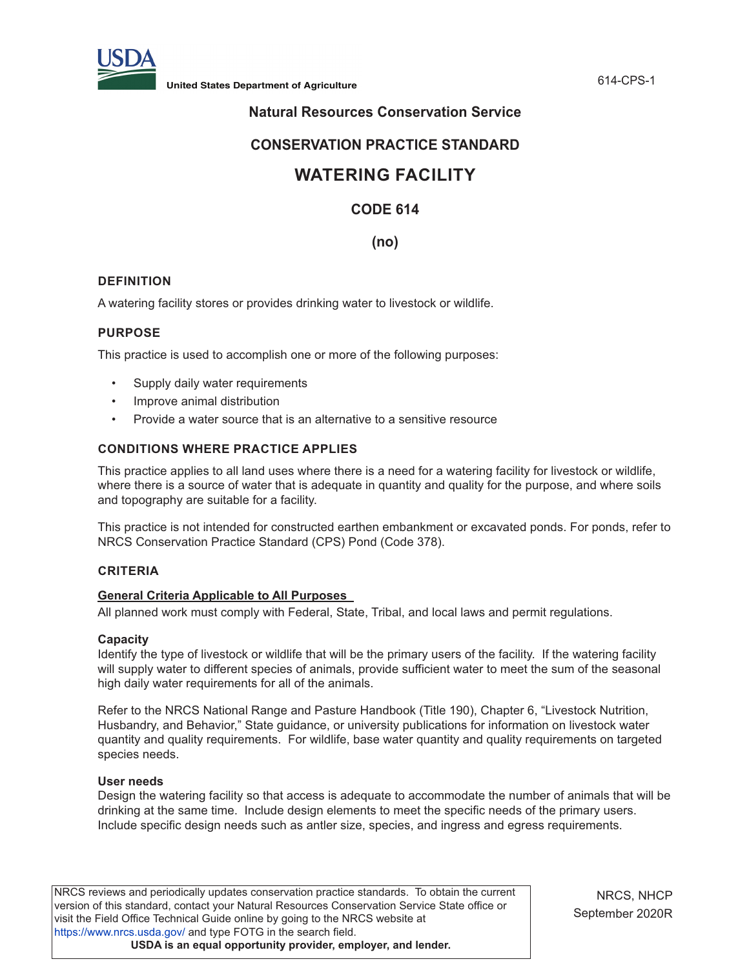

# **Natural Resources Conservation Service**

# **CONSERVATION PRACTICE STANDARD**

# **WATERING FACILITY**

# **CODE 614**

# **(no)**

# **DEFINITION**

A watering facility stores or provides drinking water to livestock or wildlife.

# **PURPOSE**

This practice is used to accomplish one or more of the following purposes:

- Supply daily water requirements
- Improve animal distribution
- Provide a water source that is an alternative to a sensitive resource

# **CONDITIONS WHERE PRACTICE APPLIES**

This practice applies to all land uses where there is a need for a watering facility for livestock or wildlife, where there is a source of water that is adequate in quantity and quality for the purpose, and where soils and topography are suitable for a facility.

This practice is not intended for constructed earthen embankment or excavated ponds. For ponds, refer to NRCS Conservation Practice Standard (CPS) Pond (Code 378).

#### **CRITERIA**

#### **General Criteria Applicable to All Purposes**

All planned work must comply with Federal, State, Tribal, and local laws and permit regulations.

#### **Capacity**

Identify the type of livestock or wildlife that will be the primary users of the facility. If the watering facility will supply water to different species of animals, provide sufficient water to meet the sum of the seasonal high daily water requirements for all of the animals.

Refer to the NRCS National Range and Pasture Handbook (Title 190), Chapter 6, "Livestock Nutrition, Husbandry, and Behavior," State guidance, or university publications for information on livestock water quantity and quality requirements. For wildlife, base water quantity and quality requirements on targeted species needs.

#### **User needs**

Design the watering facility so that access is adequate to accommodate the number of animals that will be drinking at the same time. Include design elements to meet the specific needs of the primary users. Include specific design needs such as antler size, species, and ingress and egress requirements.

NRCS reviews and periodically updates conservation practice standards. To obtain the current version of this standard, contact your Natural Resources Conservation Service State office or visit the Field Office Technical Guide online by going to the NRCS website at <https://www.nrcs.usda.gov/>and type FOTG in the search field. **USDA is an equal opportunity provider, employer, and lender.**

NRCS, NHCP September 2020R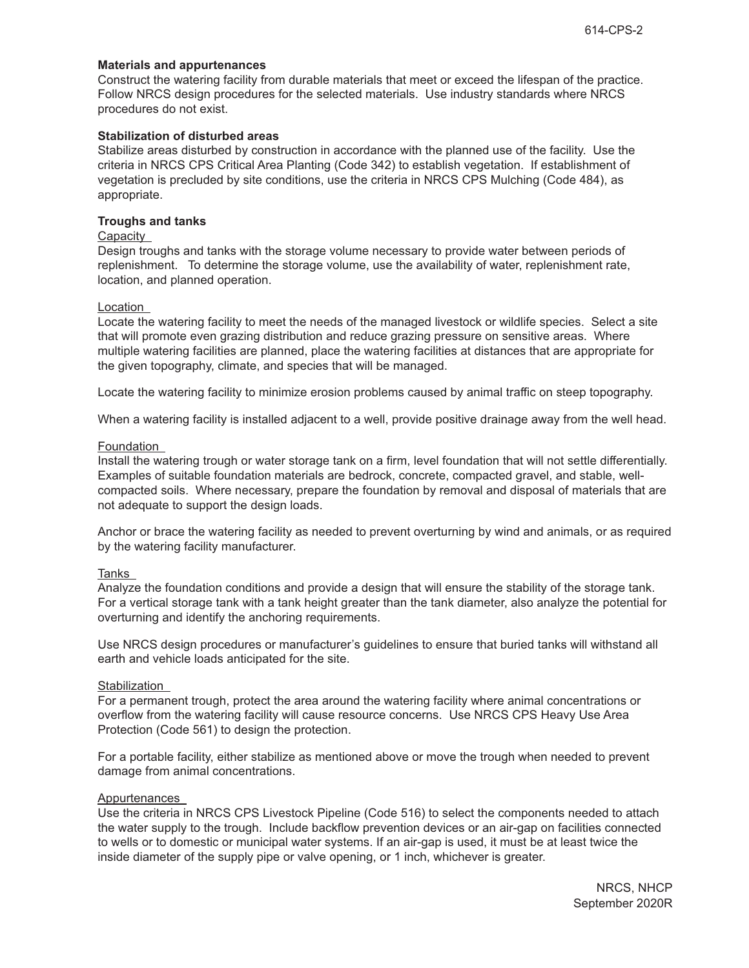#### **Materials and appurtenances**

Construct the watering facility from durable materials that meet or exceed the lifespan of the practice. Follow NRCS design procedures for the selected materials. Use industry standards where NRCS procedures do not exist.

# **Stabilization of disturbed areas**

Stabilize areas disturbed by construction in accordance with the planned use of the facility. Use the criteria in NRCS CPS Critical Area Planting (Code 342) to establish vegetation. If establishment of vegetation is precluded by site conditions, use the criteria in NRCS CPS Mulching (Code 484), as appropriate.

# **Troughs and tanks**

## Capacity

Design troughs and tanks with the storage volume necessary to provide water between periods of replenishment. To determine the storage volume, use the availability of water, replenishment rate, location, and planned operation.

# Location

Locate the watering facility to meet the needs of the managed livestock or wildlife species. Select a site that will promote even grazing distribution and reduce grazing pressure on sensitive areas. Where multiple watering facilities are planned, place the watering facilities at distances that are appropriate for the given topography, climate, and species that will be managed.

Locate the watering facility to minimize erosion problems caused by animal traffic on steep topography.

When a watering facility is installed adjacent to a well, provide positive drainage away from the well head.

# Foundation

Install the watering trough or water storage tank on a firm, level foundation that will not settle differentially. Examples of suitable foundation materials are bedrock, concrete, compacted gravel, and stable, wellcompacted soils. Where necessary, prepare the foundation by removal and disposal of materials that are not adequate to support the design loads.

Anchor or brace the watering facility as needed to prevent overturning by wind and animals, or as required by the watering facility manufacturer.

# Tanks

Analyze the foundation conditions and provide a design that will ensure the stability of the storage tank. For a vertical storage tank with a tank height greater than the tank diameter, also analyze the potential for overturning and identify the anchoring requirements.

Use NRCS design procedures or manufacturer's guidelines to ensure that buried tanks will withstand all earth and vehicle loads anticipated for the site.

# **Stabilization**

For a permanent trough, protect the area around the watering facility where animal concentrations or overflow from the watering facility will cause resource concerns. Use NRCS CPS Heavy Use Area Protection (Code 561) to design the protection.

For a portable facility, either stabilize as mentioned above or move the trough when needed to prevent damage from animal concentrations.

#### Appurtenances

Use the criteria in NRCS CPS Livestock Pipeline (Code 516) to select the components needed to attach the water supply to the trough. Include backflow prevention devices or an air-gap on facilities connected to wells or to domestic or municipal water systems. If an air-gap is used, it must be at least twice the inside diameter of the supply pipe or valve opening, or 1 inch, whichever is greater.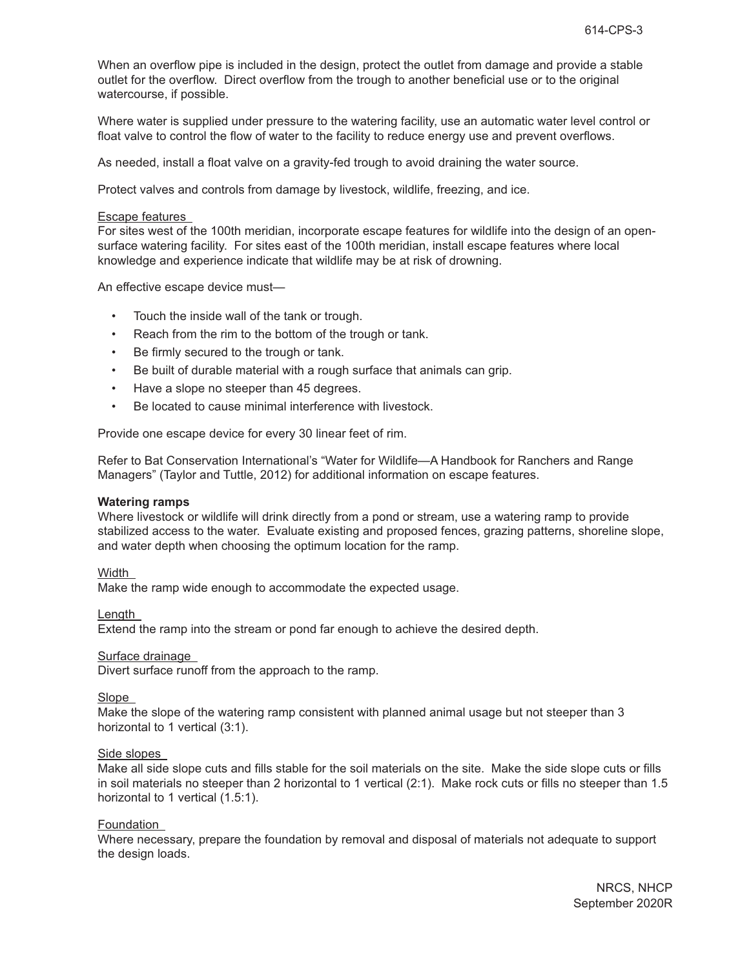When an overflow pipe is included in the design, protect the outlet from damage and provide a stable outlet for the overflow. Direct overflow from the trough to another beneficial use or to the original watercourse, if possible.

Where water is supplied under pressure to the watering facility, use an automatic water level control or float valve to control the flow of water to the facility to reduce energy use and prevent overflows.

As needed, install a float valve on a gravity-fed trough to avoid draining the water source.

Protect valves and controls from damage by livestock, wildlife, freezing, and ice.

#### Escape features

For sites west of the 100th meridian, incorporate escape features for wildlife into the design of an opensurface watering facility. For sites east of the 100th meridian, install escape features where local knowledge and experience indicate that wildlife may be at risk of drowning.

An effective escape device must—

- Touch the inside wall of the tank or trough.
- Reach from the rim to the bottom of the trough or tank.
- Be firmly secured to the trough or tank.
- Be built of durable material with a rough surface that animals can grip.
- Have a slope no steeper than 45 degrees.
- Be located to cause minimal interference with livestock.

Provide one escape device for every 30 linear feet of rim.

Refer to Bat Conservation International's "Water for Wildlife—A Handbook for Ranchers and Range Managers" (Taylor and Tuttle, 2012) for additional information on escape features.

#### **Watering ramps**

Where livestock or wildlife will drink directly from a pond or stream, use a watering ramp to provide stabilized access to the water. Evaluate existing and proposed fences, grazing patterns, shoreline slope, and water depth when choosing the optimum location for the ramp.

Width

Make the ramp wide enough to accommodate the expected usage.

Length

Extend the ramp into the stream or pond far enough to achieve the desired depth.

#### Surface drainage

Divert surface runoff from the approach to the ramp.

**Slope** 

Make the slope of the watering ramp consistent with planned animal usage but not steeper than 3 horizontal to 1 vertical (3:1).

#### Side slopes

Make all side slope cuts and fills stable for the soil materials on the site. Make the side slope cuts or fills in soil materials no steeper than 2 horizontal to 1 vertical (2:1). Make rock cuts or fills no steeper than 1.5 horizontal to 1 vertical (1.5:1).

#### Foundation

Where necessary, prepare the foundation by removal and disposal of materials not adequate to support the design loads.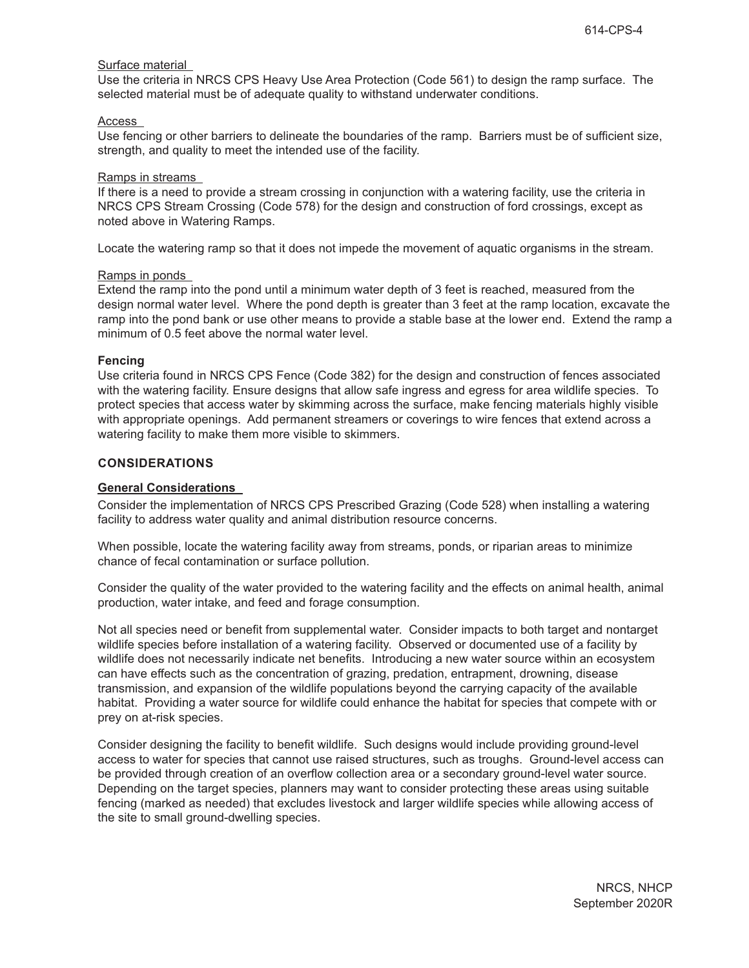## Surface material

Use the criteria in NRCS CPS Heavy Use Area Protection (Code 561) to design the ramp surface. The selected material must be of adequate quality to withstand underwater conditions.

#### Access

Use fencing or other barriers to delineate the boundaries of the ramp. Barriers must be of sufficient size, strength, and quality to meet the intended use of the facility.

#### Ramps in streams

If there is a need to provide a stream crossing in conjunction with a watering facility, use the criteria in NRCS CPS Stream Crossing (Code 578) for the design and construction of ford crossings, except as noted above in Watering Ramps.

Locate the watering ramp so that it does not impede the movement of aquatic organisms in the stream.

# Ramps in ponds

Extend the ramp into the pond until a minimum water depth of 3 feet is reached, measured from the design normal water level. Where the pond depth is greater than 3 feet at the ramp location, excavate the ramp into the pond bank or use other means to provide a stable base at the lower end. Extend the ramp a minimum of 0.5 feet above the normal water level.

#### **Fencing**

Use criteria found in NRCS CPS Fence (Code 382) for the design and construction of fences associated with the watering facility. Ensure designs that allow safe ingress and egress for area wildlife species. To protect species that access water by skimming across the surface, make fencing materials highly visible with appropriate openings. Add permanent streamers or coverings to wire fences that extend across a watering facility to make them more visible to skimmers.

## **CONSIDERATIONS**

#### **General Considerations**

Consider the implementation of NRCS CPS Prescribed Grazing (Code 528) when installing a watering facility to address water quality and animal distribution resource concerns.

When possible, locate the watering facility away from streams, ponds, or riparian areas to minimize chance of fecal contamination or surface pollution.

Consider the quality of the water provided to the watering facility and the effects on animal health, animal production, water intake, and feed and forage consumption.

Not all species need or benefit from supplemental water. Consider impacts to both target and nontarget wildlife species before installation of a watering facility. Observed or documented use of a facility by wildlife does not necessarily indicate net benefits. Introducing a new water source within an ecosystem can have effects such as the concentration of grazing, predation, entrapment, drowning, disease transmission, and expansion of the wildlife populations beyond the carrying capacity of the available habitat. Providing a water source for wildlife could enhance the habitat for species that compete with or prey on at-risk species.

Consider designing the facility to benefit wildlife. Such designs would include providing ground-level access to water for species that cannot use raised structures, such as troughs. Ground-level access can be provided through creation of an overflow collection area or a secondary ground-level water source. Depending on the target species, planners may want to consider protecting these areas using suitable fencing (marked as needed) that excludes livestock and larger wildlife species while allowing access of the site to small ground-dwelling species.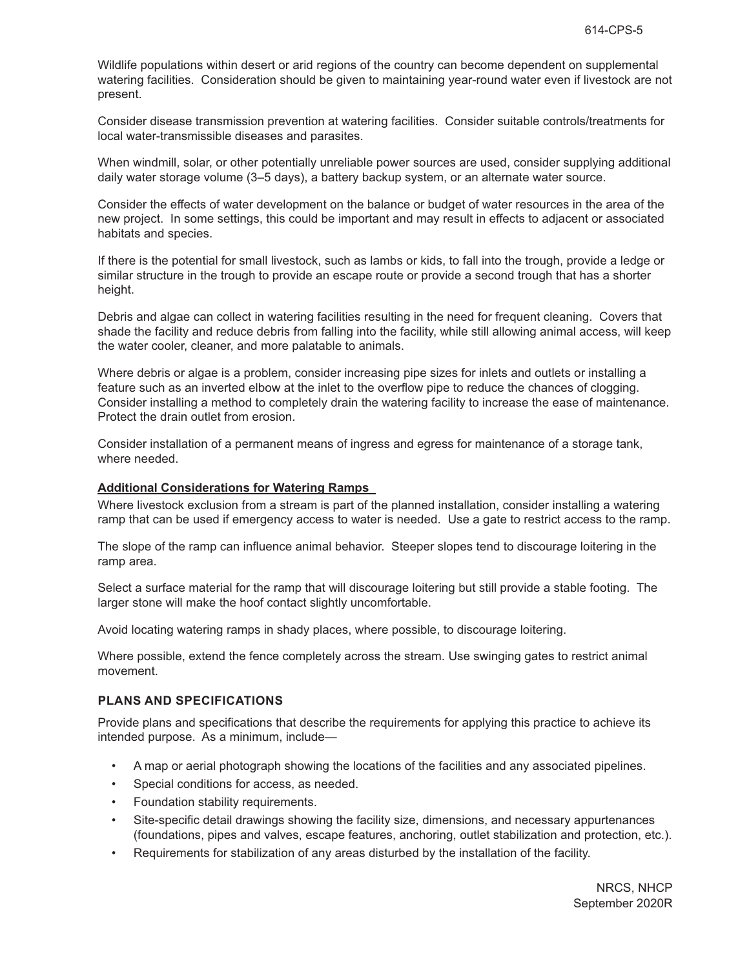Wildlife populations within desert or arid regions of the country can become dependent on supplemental watering facilities. Consideration should be given to maintaining year-round water even if livestock are not present.

Consider disease transmission prevention at watering facilities. Consider suitable controls/treatments for local water-transmissible diseases and parasites.

When windmill, solar, or other potentially unreliable power sources are used, consider supplying additional daily water storage volume (3–5 days), a battery backup system, or an alternate water source.

Consider the effects of water development on the balance or budget of water resources in the area of the new project. In some settings, this could be important and may result in effects to adjacent or associated habitats and species.

If there is the potential for small livestock, such as lambs or kids, to fall into the trough, provide a ledge or similar structure in the trough to provide an escape route or provide a second trough that has a shorter height.

Debris and algae can collect in watering facilities resulting in the need for frequent cleaning. Covers that shade the facility and reduce debris from falling into the facility, while still allowing animal access, will keep the water cooler, cleaner, and more palatable to animals.

Where debris or algae is a problem, consider increasing pipe sizes for inlets and outlets or installing a feature such as an inverted elbow at the inlet to the overflow pipe to reduce the chances of clogging. Consider installing a method to completely drain the watering facility to increase the ease of maintenance. Protect the drain outlet from erosion.

Consider installation of a permanent means of ingress and egress for maintenance of a storage tank, where needed.

#### **Additional Considerations for Watering Ramps**

Where livestock exclusion from a stream is part of the planned installation, consider installing a watering ramp that can be used if emergency access to water is needed. Use a gate to restrict access to the ramp.

The slope of the ramp can influence animal behavior. Steeper slopes tend to discourage loitering in the ramp area.

Select a surface material for the ramp that will discourage loitering but still provide a stable footing. The larger stone will make the hoof contact slightly uncomfortable.

Avoid locating watering ramps in shady places, where possible, to discourage loitering.

Where possible, extend the fence completely across the stream. Use swinging gates to restrict animal movement.

#### **PLANS AND SPECIFICATIONS**

Provide plans and specifications that describe the requirements for applying this practice to achieve its intended purpose. As a minimum, include—

- A map or aerial photograph showing the locations of the facilities and any associated pipelines.
- Special conditions for access, as needed.
- Foundation stability requirements.
- Site-specific detail drawings showing the facility size, dimensions, and necessary appurtenances (foundations, pipes and valves, escape features, anchoring, outlet stabilization and protection, etc.).
- Requirements for stabilization of any areas disturbed by the installation of the facility.